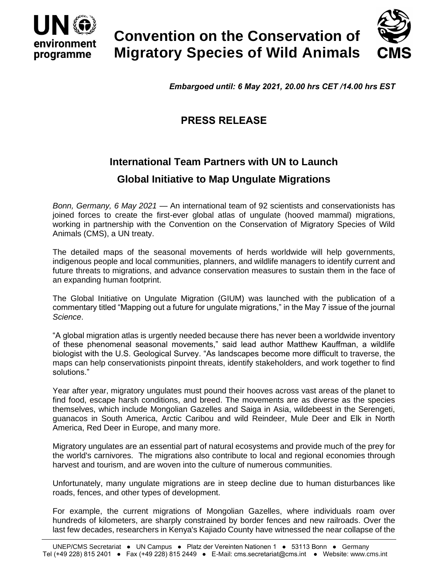

# **Convention on the Conservation of Migratory Species of Wild Animals**



*Embargoed until: 6 May 2021, 20.00 hrs CET /14.00 hrs EST*

## **PRESS RELEASE**

## **International Team Partners with UN to Launch**

### **Global Initiative to Map Ungulate Migrations**

*Bonn, Germany, 6 May 2021* — An international team of 92 scientists and conservationists has joined forces to create the first-ever global atlas of ungulate (hooved mammal) migrations, working in partnership with the Convention on the Conservation of Migratory Species of Wild Animals (CMS), a UN treaty.

The detailed maps of the seasonal movements of herds worldwide will help governments, indigenous people and local communities, planners, and wildlife managers to identify current and future threats to migrations, and advance conservation measures to sustain them in the face of an expanding human footprint.

The Global Initiative on Ungulate Migration (GIUM) was launched with the publication of a commentary titled "Mapping out a future for ungulate migrations," in the May 7 issue of the journal *Science*.

"A global migration atlas is urgently needed because there has never been a worldwide inventory of these phenomenal seasonal movements," said lead author Matthew Kauffman, a wildlife biologist with the U.S. Geological Survey. "As landscapes become more difficult to traverse, the maps can help conservationists pinpoint threats, identify stakeholders, and work together to find solutions."

Year after year, migratory ungulates must pound their hooves across vast areas of the planet to find food, escape harsh conditions, and breed. The movements are as diverse as the species themselves, which include Mongolian Gazelles and Saiga in Asia, wildebeest in the Serengeti, guanacos in South America, Arctic Caribou and wild Reindeer, Mule Deer and Elk in North America, Red Deer in Europe, and many more.

Migratory ungulates are an essential part of natural ecosystems and provide much of the prey for the world's carnivores. The migrations also contribute to local and regional economies through harvest and tourism, and are woven into the culture of numerous communities.

Unfortunately, many ungulate migrations are in steep decline due to human disturbances like roads, fences, and other types of development.

For example, the current migrations of Mongolian Gazelles, where individuals roam over hundreds of kilometers, are sharply constrained by border fences and new railroads. Over the last few decades, researchers in Kenya's Kajiado County have witnessed the near collapse of the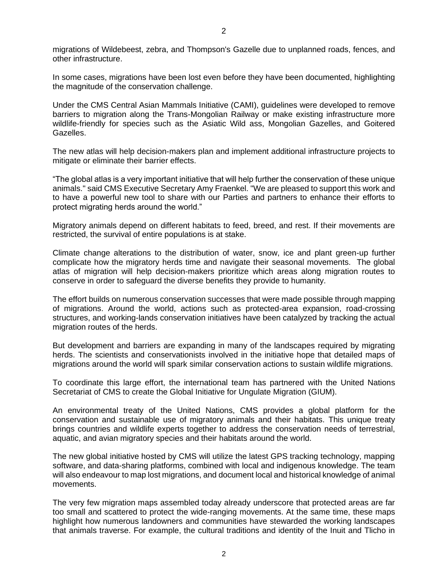migrations of Wildebeest, zebra, and Thompson's Gazelle due to unplanned roads, fences, and other infrastructure.

In some cases, migrations have been lost even before they have been documented, highlighting the magnitude of the conservation challenge.

Under the CMS Central Asian Mammals Initiative (CAMI), guidelines were developed to remove barriers to migration along the Trans-Mongolian Railway or make existing infrastructure more wildlife-friendly for species such as the Asiatic Wild ass, Mongolian Gazelles, and Goitered Gazelles.

The new atlas will help decision-makers plan and implement additional infrastructure projects to mitigate or eliminate their barrier effects.

"The global atlas is a very important initiative that will help further the conservation of these unique animals." said CMS Executive Secretary Amy Fraenkel. "We are pleased to support this work and to have a powerful new tool to share with our Parties and partners to enhance their efforts to protect migrating herds around the world."

Migratory animals depend on different habitats to feed, breed, and rest. If their movements are restricted, the survival of entire populations is at stake.

Climate change alterations to the distribution of water, snow, ice and plant green-up further complicate how the migratory herds time and navigate their seasonal movements. The global atlas of migration will help decision-makers prioritize which areas along migration routes to conserve in order to safeguard the diverse benefits they provide to humanity.

The effort builds on numerous conservation successes that were made possible through mapping of migrations. Around the world, actions such as protected-area expansion, road-crossing structures, and working-lands conservation initiatives have been catalyzed by tracking the actual migration routes of the herds.

But development and barriers are expanding in many of the landscapes required by migrating herds. The scientists and conservationists involved in the initiative hope that detailed maps of migrations around the world will spark similar conservation actions to sustain wildlife migrations.

To coordinate this large effort, the international team has partnered with the United Nations Secretariat of CMS to create the Global Initiative for Ungulate Migration (GIUM).

An environmental treaty of the United Nations, CMS provides a global platform for the conservation and sustainable use of migratory animals and their habitats. This unique treaty brings countries and wildlife experts together to address the conservation needs of terrestrial, aquatic, and avian migratory species and their habitats around the world.

The new global initiative hosted by CMS will utilize the latest GPS tracking technology, mapping software, and data-sharing platforms, combined with local and indigenous knowledge. The team will also endeavour to map lost migrations, and document local and historical knowledge of animal movements.

The very few migration maps assembled today already underscore that protected areas are far too small and scattered to protect the wide-ranging movements. At the same time, these maps highlight how numerous landowners and communities have stewarded the working landscapes that animals traverse. For example, the cultural traditions and identity of the Inuit and Tlicho in